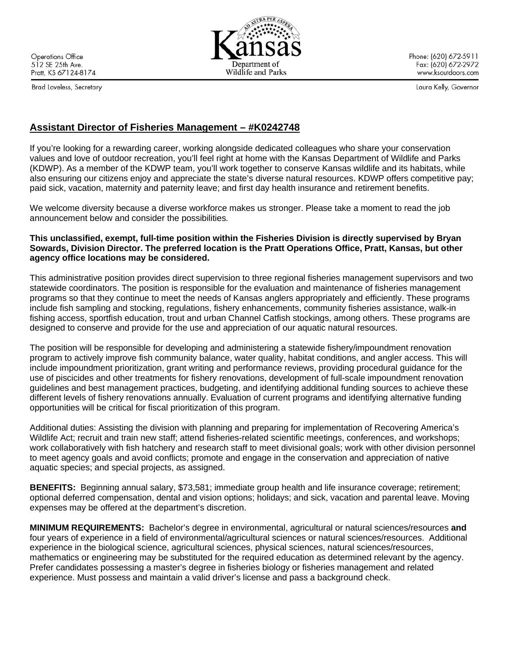**Operations Office** 512 SE 25th Ave. Pratt, KS 67124-8174

Brad Loveless, Secretary

Phone: (620) 672-5911 Fax: (620) 672-2972 www.ksoutdoors.com

Laura Kelly, Governor

# **Assistant Director of Fisheries Management – #K0242748**

If you're looking for a rewarding career, working alongside dedicated colleagues who share your conservation values and love of outdoor recreation, you'll feel right at home with the Kansas Department of Wildlife and Parks (KDWP). As a member of the KDWP team, you'll work together to conserve Kansas wildlife and its habitats, while also ensuring our citizens enjoy and appreciate the state's diverse natural resources. KDWP offers competitive pay; paid sick, vacation, maternity and paternity leave; and first day health insurance and retirement benefits.

We welcome diversity because a diverse workforce makes us stronger. Please take a moment to read the job announcement below and consider the possibilities*.*

### **This unclassified, exempt, full-time position within the Fisheries Division is directly supervised by Bryan Sowards, Division Director. The preferred location is the Pratt Operations Office, Pratt, Kansas, but other agency office locations may be considered.**

This administrative position provides direct supervision to three regional fisheries management supervisors and two statewide coordinators. The position is responsible for the evaluation and maintenance of fisheries management programs so that they continue to meet the needs of Kansas anglers appropriately and efficiently. These programs include fish sampling and stocking, regulations, fishery enhancements, community fisheries assistance, walk-in fishing access, sportfish education, trout and urban Channel Catfish stockings, among others. These programs are designed to conserve and provide for the use and appreciation of our aquatic natural resources.

The position will be responsible for developing and administering a statewide fishery/impoundment renovation program to actively improve fish community balance, water quality, habitat conditions, and angler access. This will include impoundment prioritization, grant writing and performance reviews, providing procedural guidance for the use of piscicides and other treatments for fishery renovations, development of full-scale impoundment renovation guidelines and best management practices, budgeting, and identifying additional funding sources to achieve these different levels of fishery renovations annually. Evaluation of current programs and identifying alternative funding opportunities will be critical for fiscal prioritization of this program.

Additional duties: Assisting the division with planning and preparing for implementation of Recovering America's Wildlife Act; recruit and train new staff; attend fisheries-related scientific meetings, conferences, and workshops; work collaboratively with fish hatchery and research staff to meet divisional goals; work with other division personnel to meet agency goals and avoid conflicts; promote and engage in the conservation and appreciation of native aquatic species; and special projects, as assigned.

**BENEFITS:** Beginning annual salary, \$73,581; immediate group health and life insurance coverage; retirement; optional deferred compensation, dental and vision options; holidays; and sick, vacation and parental leave. Moving expenses may be offered at the department's discretion.

**MINIMUM REQUIREMENTS:** Bachelor's degree in environmental, agricultural or natural sciences/resources **and** four years of experience in a field of environmental/agricultural sciences or natural sciences/resources. Additional experience in the biological science, agricultural sciences, physical sciences, natural sciences/resources, mathematics or engineering may be substituted for the required education as determined relevant by the agency. Prefer candidates possessing a master's degree in fisheries biology or fisheries management and related experience. Must possess and maintain a valid driver's license and pass a background check.